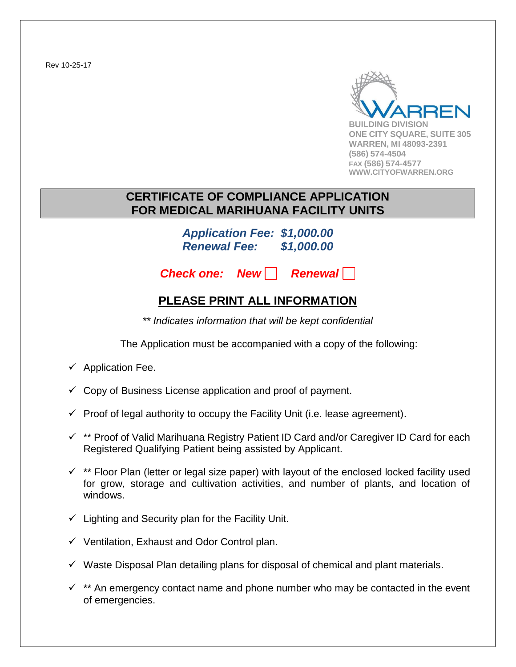Rev 10-25-17



### **CERTIFICATE OF COMPLIANCE APPLICATION FOR MEDICAL MARIHUANA FACILITY UNITS**

*Application Fee: \$1,000.00 Renewal Fee: \$1,000.00*

**Check one: New Renewall** 

### **PLEASE PRINT ALL INFORMATION**

*\*\* Indicates information that will be kept confidential*

The Application must be accompanied with a copy of the following:

- $\checkmark$  Application Fee.
- $\checkmark$  Copy of Business License application and proof of payment.
- $\checkmark$  Proof of legal authority to occupy the Facility Unit (i.e. lease agreement).
- $\checkmark$  \*\* Proof of Valid Marihuana Registry Patient ID Card and/or Caregiver ID Card for each Registered Qualifying Patient being assisted by Applicant.
- $\checkmark$  \*\* Floor Plan (letter or legal size paper) with layout of the enclosed locked facility used for grow, storage and cultivation activities, and number of plants, and location of windows.
- $\checkmark$  Lighting and Security plan for the Facility Unit.
- $\checkmark$  Ventilation, Exhaust and Odor Control plan.
- $\checkmark$  Waste Disposal Plan detailing plans for disposal of chemical and plant materials.
- $\checkmark$  \*\* An emergency contact name and phone number who may be contacted in the event of emergencies.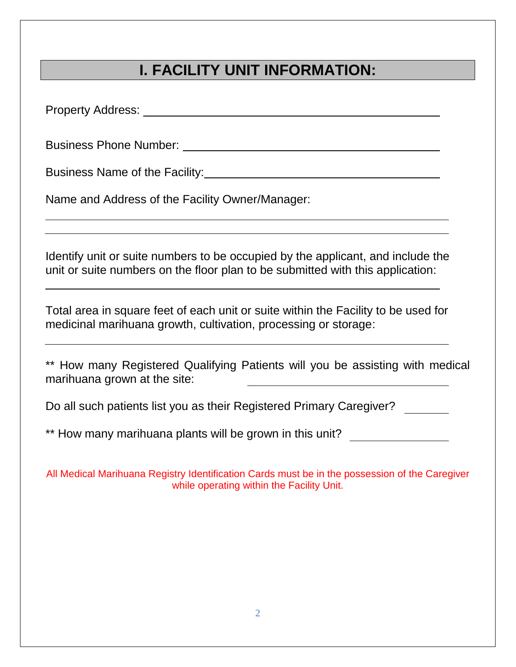# **I. FACILITY UNIT INFORMATION:**

Property Address: Letter and Contract and Contract and Contract and Contract and Contract and Contract and Contract and Contract and Contract and Contract and Contract and Contract and Contract and Contract and Contract an

Business Phone Number:

Business Name of the Facility: **Example 2018** 

Name and Address of the Facility Owner/Manager:

Identify unit or suite numbers to be occupied by the applicant, and include the unit or suite numbers on the floor plan to be submitted with this application:

Total area in square feet of each unit or suite within the Facility to be used for medicinal marihuana growth, cultivation, processing or storage:

\*\* How many Registered Qualifying Patients will you be assisting with medical marihuana grown at the site:

Do all such patients list you as their Registered Primary Caregiver?

\*\* How many marihuana plants will be grown in this unit?

All Medical Marihuana Registry Identification Cards must be in the possession of the Caregiver while operating within the Facility Unit.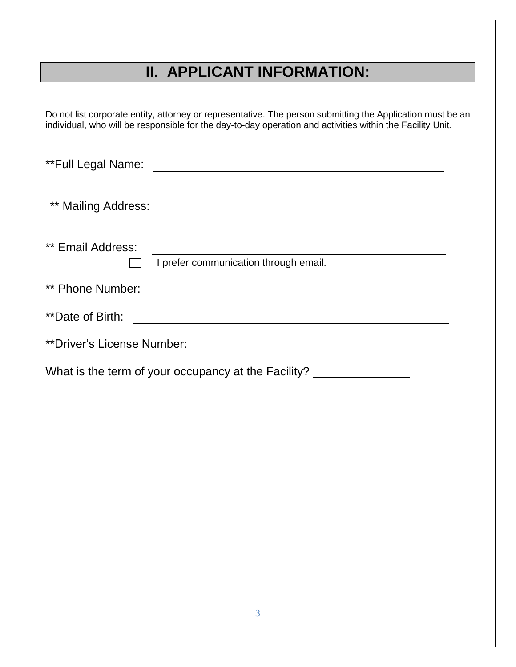## **II. APPLICANT INFORMATION:**

Do not list corporate entity, attorney or representative. The person submitting the Application must be an individual, who will be responsible for the day-to-day operation and activities within the Facility Unit.

\*\*Full Legal Name:

\*\* Mailing Address:

| ** Email Address:          |                                       |
|----------------------------|---------------------------------------|
|                            | I prefer communication through email. |
| ** Phone Number:           |                                       |
| **Date of Birth:           |                                       |
| **Driver's License Number: |                                       |
| $\mathbf{v}$               |                                       |

What is the term of your occupancy at the Facility? \_\_\_\_\_\_\_\_\_\_\_\_\_\_\_\_\_\_\_\_\_\_\_\_\_\_\_\_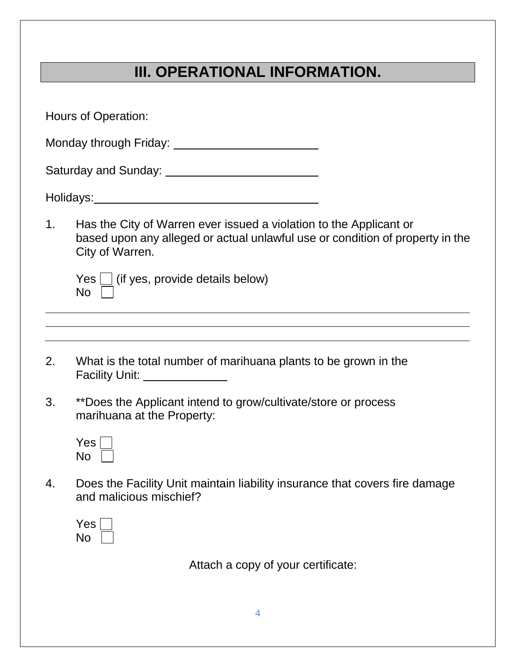# **III. OPERATIONAL INFORMATION.**

|                | Hours of Operation:                                                                                                                                                    |  |
|----------------|------------------------------------------------------------------------------------------------------------------------------------------------------------------------|--|
|                |                                                                                                                                                                        |  |
|                |                                                                                                                                                                        |  |
|                |                                                                                                                                                                        |  |
|                |                                                                                                                                                                        |  |
| 1 <sub>1</sub> | Has the City of Warren ever issued a violation to the Applicant or<br>based upon any alleged or actual unlawful use or condition of property in the<br>City of Warren. |  |
|                | $Yes \bigsqcup$ (if yes, provide details below)<br>$No$ $\vert$                                                                                                        |  |
|                |                                                                                                                                                                        |  |
| 2.             | What is the total number of marihuana plants to be grown in the<br>Facility Unit: ______________                                                                       |  |
| 3.             | **Does the Applicant intend to grow/cultivate/store or process<br>marihuana at the Property:                                                                           |  |
|                | Yes l<br><b>No</b>                                                                                                                                                     |  |
| 4.             | Does the Facility Unit maintain liability insurance that covers fire damage<br>and malicious mischief?                                                                 |  |
|                | <b>Yes</b><br><b>No</b>                                                                                                                                                |  |
|                | Attach a copy of your certificate:                                                                                                                                     |  |